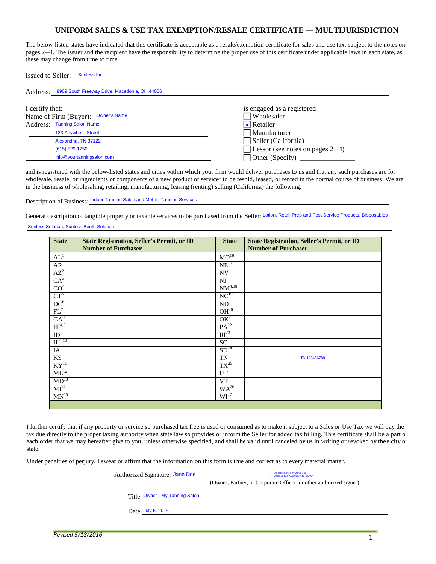### **UNIFORM SALES & USE TAX EXEMPTION/RESALE CERTIFICATE — MULTIJURISDICTION**

The below-listed states have indicated that this certificate is acceptable as a resale/exemption certificate for sales and use tax, subject to the notes on pages 2─4. The issuer and the recipient have the responsibility to determine the proper use of this certificate under applicable laws in each state, as these may change from time to time.

| Issued to Seller: Sunless Inc.                                                       |                                                             |
|--------------------------------------------------------------------------------------|-------------------------------------------------------------|
| 8909 South Freeway Drive, Macedonia, OH 44056<br>Address:                            |                                                             |
| I certify that:<br>Name of Firm (Buyer): Owner's Name<br>Address: Tanning Salon Name | is engaged as a registered<br>Wholesaler<br>$\Box$ Retailer |
| 123 Anywhere Street                                                                  | ⊤Manufacturer                                               |
| Alexandria, TN 37122                                                                 | Seller (California)                                         |
| (615) 529-1250                                                                       | Lessor (see notes on pages 2-4)                             |
| info@yourtanningsalon.com                                                            |                                                             |

and is registered with the below-listed states and cities within which your firm would deliver purchases to us and that any such purchases are for wholesale, resale, or ingredients or components of a new product or service<sup>1</sup> to be resold, leased, or rented in the normal course of business. We are in the business of wholesaling, retailing, manufacturing, leasing (renting) selling (California) the following:

Description of Business: Indoor Tanning Salon and Mobile Tanning Services

General description of tangible property or taxable services to be purchased from the Seller: Lotion, Retail Prep and Post Service Products, Disposables

#### Sunless Solution, Sunless Booth Solution

| <b>State</b>           | <b>State Registration, Seller's Permit, or ID</b><br><b>Number of Purchaser</b> | <b>State</b>       | <b>State Registration, Seller's Permit, or ID</b><br><b>Number of Purchaser</b> |
|------------------------|---------------------------------------------------------------------------------|--------------------|---------------------------------------------------------------------------------|
| AL <sup>1</sup>        |                                                                                 | $MO^{16}$          |                                                                                 |
| ${\sf AR}$             |                                                                                 | NE <sup>17</sup>   |                                                                                 |
| $AZ^2$                 |                                                                                 | <b>NV</b>          |                                                                                 |
| $CA^3$                 |                                                                                 | N <sub>J</sub>     |                                                                                 |
| CO <sup>4</sup>        |                                                                                 | NM <sup>4,18</sup> |                                                                                 |
| $CT^5$                 |                                                                                 | NC <sup>19</sup>   |                                                                                 |
| DC <sup>6</sup>        |                                                                                 | ND                 |                                                                                 |
| $FL^7$                 |                                                                                 | OH <sup>20</sup>   |                                                                                 |
| $GA^8$                 |                                                                                 | OK <sup>21</sup>   |                                                                                 |
| HI <sup>4,9</sup>      |                                                                                 | $PA^{22}$          |                                                                                 |
| $\rm ID$               |                                                                                 | RI <sup>23</sup>   |                                                                                 |
| IL <sup>4,10</sup>     |                                                                                 | SC <sub>1</sub>    |                                                                                 |
| IA                     |                                                                                 | SD <sup>24</sup>   |                                                                                 |
| $\mathop{\mathrm{KS}}$ |                                                                                 | TN                 | TN 123456789                                                                    |
| KY <sup>11</sup>       |                                                                                 | $TX^{25}$          |                                                                                 |
| ME <sup>12</sup>       |                                                                                 | UT                 |                                                                                 |
| MD <sup>13</sup>       |                                                                                 | <b>VT</b>          |                                                                                 |
| MI <sup>14</sup>       |                                                                                 | $WA^{26}$          |                                                                                 |
| $MN^{15}$              |                                                                                 | $WI^{27}$          |                                                                                 |
|                        |                                                                                 |                    |                                                                                 |

I further certify that if any property or service so purchased tax free is used or consumed as to make it subject to a Sales or Use Tax we will pay the tax due directly to the proper taxing authority when state law so provides or inform the Seller for added tax billing. This certificate shall be a part of each order that we may hereafter give to you, unless otherwise specified, and shall be valid until canceled by us in writing or revoked by thee city or state.

Under penalties of perjury, I swear or affirm that the information on this form is true and correct as to every material matter.

Authorized Signature: Jane Doe

Jane Doe Digitally signed by Jane Doe Date: 2016.07.06 01:27:11 -05'00'

(Owner, Partner, or Corporate Officer, or other authorized signer)

Title: Owner - My Tanning Salon

Date: **July 6, 2016** 

*Revised 5/18/2016* <sup>1</sup>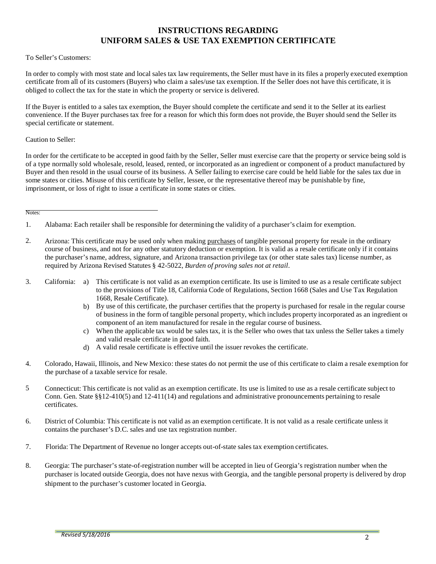## **INSTRUCTIONS REGARDING UNIFORM SALES & USE TAX EXEMPTION CERTIFICATE**

#### To Seller's Customers:

In order to comply with most state and local sales tax law requirements, the Seller must have in its files a properly executed exemption certificate from all of its customers (Buyers) who claim a sales/use tax exemption. If the Seller does not have this certificate, it is obliged to collect the tax for the state in which the property or service is delivered.

If the Buyer is entitled to a sales tax exemption, the Buyer should complete the certificate and send it to the Seller at its earliest convenience. If the Buyer purchases tax free for a reason for which this form does not provide, the Buyer should send the Seller its special certificate or statement.

Caution to Seller:

In order for the certificate to be accepted in good faith by the Seller, Seller must exercise care that the property or service being sold is of a type normally sold wholesale, resold, leased, rented, or incorporated as an ingredient or component of a product manufactured by Buyer and then resold in the usual course of its business. A Seller failing to exercise care could be held liable for the sales tax due in some states or cities. Misuse of this certificate by Seller, lessee, or the representative thereof may be punishable by fine, imprisonment, or loss of right to issue a certificate in some states or cities.

#### Notes:

- 2. Arizona: This certificate may be used only when making purchases of tangible personal property for resale in the ordinary course of business, and not for any other statutory deduction or exemption. It is valid as a resale certificate only if it contains the purchaser's name, address, signature, and Arizona transaction privilege tax (or other state sales tax) license number, as required by Arizona Revised Statutes § 42-5022, *Burden of proving sales not at retail*.
- 3. California: a) This certificate is not valid as an exemption certificate. Its use is limited to use as a resale certificate subject to the provisions of Title 18, California Code of Regulations, Section 1668 (Sales and Use Tax Regulation 1668, Resale Certificate).
	- By use of this certificate, the purchaser certifies that the property is purchased for resale in the regular course b) of business in the form of tangible personal property, which includes property incorporated as an ingredient or component of an item manufactured for resale in the regular course of business.
	- When the applicable tax would be sales tax, it is the Seller who owes that tax unless the Seller takes a timely c) and valid resale certificate in good faith.
	- A valid resale certificate is effective until the issuer revokes the certificate. d)
- 4. Colorado, Hawaii, Illinois, and New Mexico: these states do not permit the use of this certificate to claim a resale exemption for the purchase of a taxable service for resale.
- 5 Connecticut: This certificate is not valid as an exemption certificate. Its use is limited to use as a resale certificate subject to Conn. Gen. State §§12-410(5) and 12-411(14) and regulations and administrative pronouncements pertaining to resale certificates.
- 6. District of Columbia: This certificate is not valid as an exemption certificate. It is not valid as a resale certificate unless it contains the purchaser's D.C. sales and use tax registration number.
- 7. Florida: The Department of Revenue no longer accepts out-of-state sales tax exemption certificates.
- 8. Georgia: The purchaser's state-of-registration number will be accepted in lieu of Georgia's registration number when the purchaser is located outside Georgia, does not have nexus with Georgia, and the tangible personal property is delivered by drop shipment to the purchaser's customer located in Georgia.

<sup>1.</sup> Alabama: Each retailer shall be responsible for determining the validity of a purchaser's claim for exemption.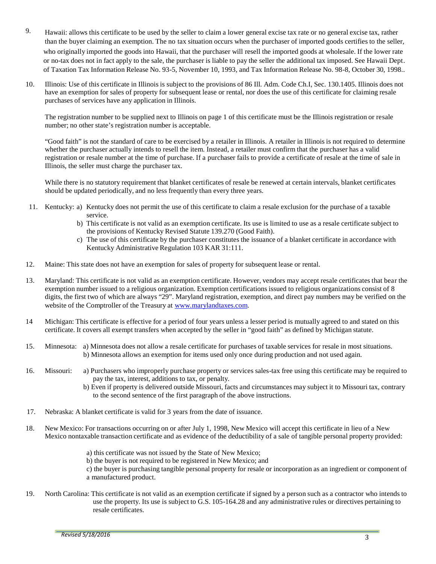- 9. Hawaii: allows this certificate to be used by the seller to claim a lower general excise tax rate or no general excise tax, rather than the buyer claiming an exemption. The no tax situation occurs when the purchaser of imported goods certifies to the seller, who originally imported the goods into Hawaii, that the purchaser will resell the imported goods at wholesale. If the lower rate or no-tax does not in fact apply to the sale, the purchaser is liable to pay the seller the additional tax imposed. See Hawaii Dept. of Taxation Tax Information Release No. 93-5, November 10, 1993, and Tax Information Release No. 98-8, October 30, 1998..
- 10. Illinois: Use of this certificate in Illinois is subject to the provisions of 86 Ill. Adm. Code Ch.I, Sec. 130.1405. Illinois does not have an exemption for sales of property for subsequent lease or rental, nor does the use of this certificate for claiming resale purchases of services have any application in Illinois.

The registration number to be supplied next to Illinois on page 1 of this certificate must be the Illinois registration or resale number; no other state's registration number is acceptable.

"Good faith" is not the standard of care to be exercised by a retailer in Illinois. A retailer in Illinois is not required to determine whether the purchaser actually intends to resell the item. Instead, a retailer must confirm that the purchaser has a valid registration or resale number at the time of purchase. If a purchaser fails to provide a certificate of resale at the time of sale in Illinois, the seller must charge the purchaser tax.

While there is no statutory requirement that blanket certificates of resale be renewed at certain intervals, blanket certificates should be updated periodically, and no less frequently than every three years.

- 11. Kentucky: a) Kentucky does not permit the use of this certificate to claim a resale exclusion for the purchase of a taxable service.
	- b) This certificate is not valid as an exemption certificate. Its use is limited to use as a resale certificate subject to the provisions of Kentucky Revised Statute 139.270 (Good Faith).
	- c) The use of this certificate by the purchaser constitutes the issuance of a blanket certificate in accordance with Kentucky Administrative Regulation 103 KAR 31:111.
- 12. Maine: This state does not have an exemption for sales of property for subsequent lease or rental.
- 13. Maryland: This certificate is not valid as an exemption certificate. However, vendors may accept resale certificates that bear the exemption number issued to a religious organization. Exemption certifications issued to religious organizations consist of 8 digits, the first two of which are always "29". Maryland registration, exemption, and direct pay numbers may be verified on the website of the Comptroller of the Treasury at [www.marylandtaxes.com.](http://www.marylandtaxes.com/)
- 14 Michigan: This certificate is effective for a period of four years unless a lesser period is mutually agreed to and stated on this certificate. It covers all exempt transfers when accepted by the seller in "good faith" as defined by Michigan statute.
- 15. Minnesota: a) Minnesota does not allow a resale certificate for purchases of taxable services for resale in most situations. b) Minnesota allows an exemption for items used only once during production and not used again.
- 16. Missouri: a) Purchasers who improperly purchase property or services sales-tax free using this certificate may be required to pay the tax, interest, additions to tax, or penalty.
	- b) Even if property is delivered outside Missouri, facts and circumstances may subject it to Missouri tax, contrary to the second sentence of the first paragraph of the above instructions.
- 17. Nebraska: A blanket certificate is valid for 3 years from the date of issuance.
- 18. New Mexico: For transactions occurring on or after July 1, 1998, New Mexico will accept this certificate in lieu of a New Mexico nontaxable transaction certificate and as evidence of the deductibility of a sale of tangible personal property provided:
	- a) this certificate was not issued by the State of New Mexico;
	- b) the buyer is not required to be registered in New Mexico; and

c) the buyer is purchasing tangible personal property for resale or incorporation as an ingredient or component of a manufactured product.

19. North Carolina: This certificate is not valid as an exemption certificate if signed by a person such as a contractor who intends to use the property. Its use is subject to G.S. 105-164.28 and any administrative rules or directives pertaining to resale certificates.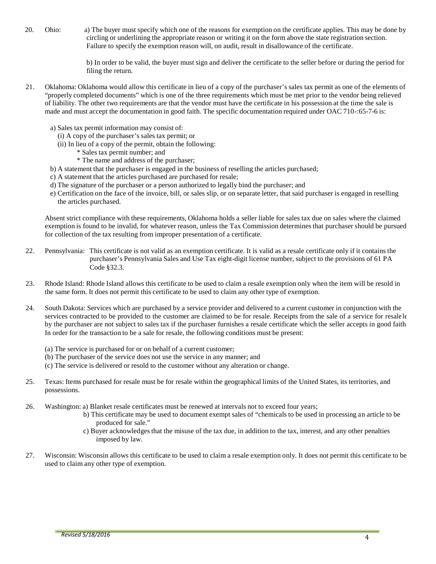20. Ohio: a) The buyer must specify which one of the reasons for exemption on the certificate applies. This may be done by circling or underlining the appropriate reason or writing it on the form above the state registration section. Failure to specify the exemption reason will, on audit, result in disallowance of the certificate.

> b) In order to be valid, the buyer must sign and deliver the certificate to the seller before or during the period for filing the return.

- 21. Oklahoma: Oklahoma would allow this certificate in lieu of a copy of the purchaser's sales tax permit as one of the elements of "properly completed documents" which is one of the three requirements which must be met prior to the vendor being relieved of liability. The other two requirements are that the vendor must have the certificate in his possession at the time the sale is made and must accept the documentation in good faith. The specific documentation required under OAC 710-:65-7-6 is:
	- a) Sales tax permit information may consist of:
		- (i) A copy of the purchaser's sales tax permit; or
		- (ii) In lieu of a copy of the permit, obtain the following:
			- \* Sales tax permit number; and
			- \* The name and address of the purchaser;
	- b) A statement that the purchaser is engaged in the business of reselling the articles purchased;
	- c) A statement that the articles purchased are purchased for resale;
	- d) The signature of the purchaser or a person authorized to legally bind the purchaser; and
	- e) Certification on the face of the invoice, bill, or sales slip, or on separate letter, that said purchaser is engaged in reselling the articles purchased.

Absent strict compliance with these requirements, Oklahoma holds a seller liable for sales tax due on sales where the claimed exemption is found to be invalid, for whatever reason, unless the Tax Commission determines that purchaser should be pursued for collection of the tax resulting from improper presentation of a certificate.

- 22. Pennsylvania: This certificate is not valid as an exemption certificate. It is valid as a resale certificate only if it contains the purchaser's Pennsylvania Sales and Use Tax eight-digit license number, subject to the provisions of 61 PA Code §32.3.
- 23. Rhode Island: Rhode Island allows this certificate to be used to claim a resale exemption only when the item will be resold in the same form. It does not permit this certificate to be used to claim any other type of exemption.
- 24. South Dakota: Services which are purchased by a service provider and delivered to a current customer in conjunction with the services contracted to be provided to the customer are claimed to be for resale. Receipts from the sale of a service for resale le by the purchaser are not subject to sales tax if the purchaser furnishes a resale certificate which the seller accepts in good faith. In order for the transaction to be a sale for resale, the following conditions must be present:
	- (a) The service is purchased for or on behalf of a current customer;
	- (b) The purchaser of the service does not use the service in any manner; and
	- (c) The service is delivered or resold to the customer without any alteration or change.
- 25. Texas: Items purchased for resale must be for resale within the geographical limits of the United States, its territories, and possessions.
- 26. Washington: a) Blanket resale certificates must be renewed at intervals not to exceed four years;
	- b) This certificate may be used to document exempt sales of "chemicals to be used in processing an article to be produced for sale."
	- c) Buyer acknowledges that the misuse of the tax due, in addition to the tax, interest, and any other penalties imposed by law.
- 27. Wisconsin: Wisconsin allows this certificate to be used to claim a resale exemption only. It does not permit this certificate to be used to claim any other type of exemption.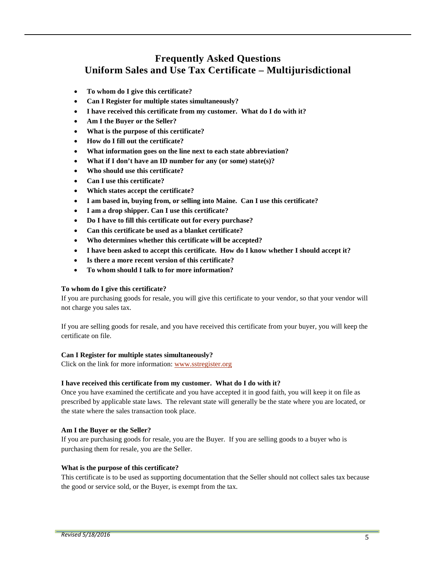# **Frequently Asked Questions Uniform Sales and Use Tax Certificate – Multijurisdictional**

- **To whom do I give this certificate?**
- **Can I Register for multiple states simultaneously?**
- **I have received this certificate from my customer. What do I do with it?**
- **Am I the Buyer or the Seller?**
- **What is the purpose of this certificate?**
- **How do I fill out the certificate?**
- **What information goes on the line next to each state abbreviation?**
- **What if I don't have an ID number for any (or some) state(s)?**
- **Who should use this certificate?**
- **Can I use this certificate?**
- **Which states accept the certificate?**
- **I am based in, buying from, or selling into Maine. Can I use this certificate?**
- **I am a drop shipper. Can I use this certificate?**
- **Do I have to fill this certificate out for every purchase?**
- **Can this certificate be used as a blanket certificate?**
- **Who determines whether this certificate will be accepted?**
- **I have been asked to accept this certificate. How do I know whether I should accept it?**
- **Is there a more recent version of this certificate?**
- **To whom should I talk to for more information?**

#### **To whom do I give this certificate?**

If you are purchasing goods for resale, you will give this certificate to your vendor, so that your vendor will not charge you sales tax.

If you are selling goods for resale, and you have received this certificate from your buyer, you will keep the certificate on file.

#### **Can I Register for multiple states simultaneously?**

Click on the link for more information: [www.sstregister.org](https://www.sstregister.org/) 

#### **I have received this certificate from my customer. What do I do with it?**

Once you have examined the certificate and you have accepted it in good faith, you will keep it on file as prescribed by applicable state laws. The relevant state will generally be the state where you are located, or the state where the sales transaction took place.

#### **Am I the Buyer or the Seller?**

If you are purchasing goods for resale, you are the Buyer. If you are selling goods to a buyer who is purchasing them for resale, you are the Seller.

#### **What is the purpose of this certificate?**

This certificate is to be used as supporting documentation that the Seller should not collect sales tax because the good or service sold, or the Buyer, is exempt from the tax.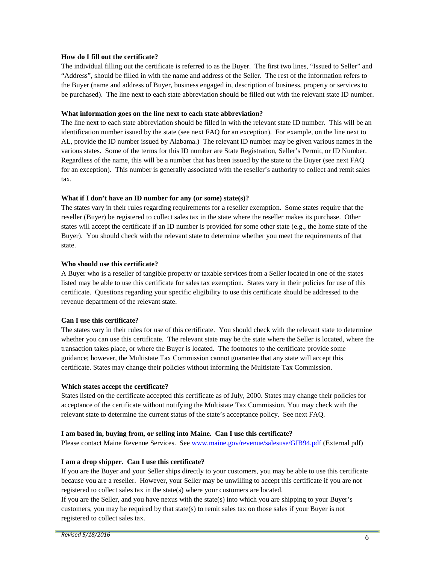#### **How do I fill out the certificate?**

The individual filling out the certificate is referred to as the Buyer. The first two lines, "Issued to Seller" and "Address", should be filled in with the name and address of the Seller. The rest of the information refers to the Buyer (name and address of Buyer, business engaged in, description of business, property or services to be purchased). The line next to each state abbreviation should be filled out with the relevant state ID number.

#### **What information goes on the line next to each state abbreviation?**

The line next to each state abbreviation should be filled in with the relevant state ID number. This will be an identification number issued by the state (see next FAQ for an exception). For example, on the line next to AL, provide the ID number issued by Alabama.) The relevant ID number may be given various names in the various states. Some of the terms for this ID number are State Registration, Seller's Permit, or ID Number. Regardless of the name, this will be a number that has been issued by the state to the Buyer (see next FAQ for an exception). This number is generally associated with the reseller's authority to collect and remit sales tax.

#### **What if I don't have an ID number for any (or some) state(s)?**

The states vary in their rules regarding requirements for a reseller exemption. Some states require that the reseller (Buyer) be registered to collect sales tax in the state where the reseller makes its purchase. Other states will accept the certificate if an ID number is provided for some other state (e.g., the home state of the Buyer). You should check with the relevant state to determine whether you meet the requirements of that state.

#### **Who should use this certificate?**

A Buyer who is a reseller of tangible property or taxable services from a Seller located in one of the states listed may be able to use this certificate for sales tax exemption. States vary in their policies for use of this certificate. Questions regarding your specific eligibility to use this certificate should be addressed to the revenue department of the relevant state.

#### **Can I use this certificate?**

The states vary in their rules for use of this certificate. You should check with the relevant state to determine whether you can use this certificate. The relevant state may be the state where the Seller is located, where the transaction takes place, or where the Buyer is located. The footnotes to the certificate provide some guidance; however, the Multistate Tax Commission cannot guarantee that any state will accept this certificate. States may change their policies without informing the Multistate Tax Commission.

#### **Which states accept the certificate?**

States listed on the certificate accepted this certificate as of July, 2000. States may change their policies for acceptance of the certificate without notifying the Multistate Tax Commission. You may check with the relevant state to determine the current status of the state's acceptance policy. See next FAQ.

#### **I am based in, buying from, or selling into Maine. Can I use this certificate?**

Please contact Maine Revenue Services. See [www.maine.gov/revenue/salesuse/GIB94.pdf](http://www.maine.gov/revenue/salesuse/GIB94.pdf) (External pdf)

#### **I am a drop shipper. Can I use this certificate?**

If you are the Buyer and your Seller ships directly to your customers, you may be able to use this certificate because you are a reseller. However, your Seller may be unwilling to accept this certificate if you are not registered to collect sales tax in the state(s) where your customers are located.

If you are the Seller, and you have nexus with the state(s) into which you are shipping to your Buyer's customers, you may be required by that state(s) to remit sales tax on those sales if your Buyer is not registered to collect sales tax.